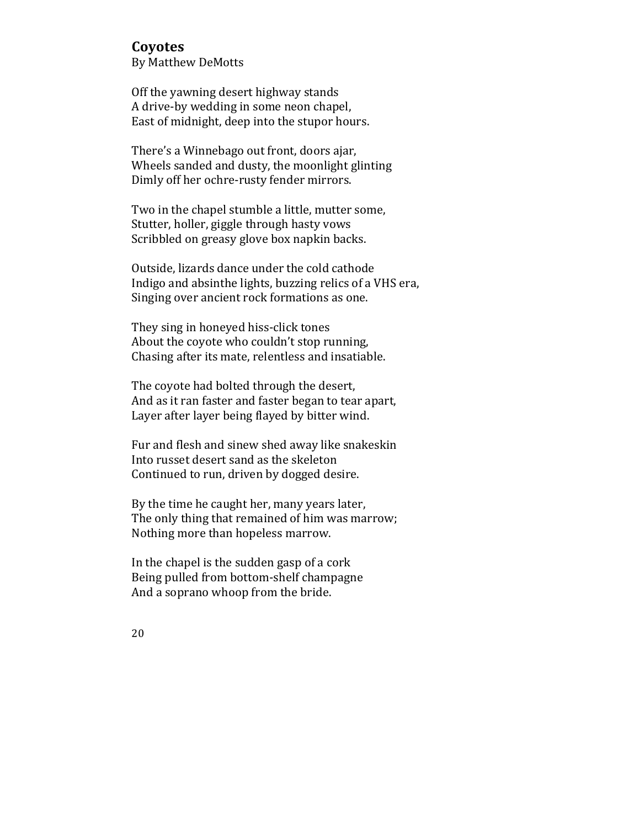## **Coyotes**

By Matthew DeMotts

Off the yawning desert highway stands A drive-by wedding in some neon chapel, East of midnight, deep into the stupor hours.

There's a Winnebago out front, doors ajar, Wheels sanded and dusty, the moonlight glinting Dimly off her ochre-rusty fender mirrors.

Two in the chapel stumble a little, mutter some, Stutter, holler, giggle through hasty vows Scribbled on greasy glove box napkin backs.

Outside, lizards dance under the cold cathode Indigo and absinthe lights, buzzing relics of a VHS era, Singing over ancient rock formations as one.

They sing in honeyed hiss-click tones About the coyote who couldn't stop running, Chasing after its mate, relentless and insatiable.

The coyote had bolted through the desert, And as it ran faster and faster began to tear apart, Layer after layer being flayed by bitter wind.

Fur and flesh and sinew shed away like snakeskin Into russet desert sand as the skeleton Continued to run, driven by dogged desire.

By the time he caught her, many years later, The only thing that remained of him was marrow; Nothing more than hopeless marrow.

In the chapel is the sudden gasp of a cork Being pulled from bottom-shelf champagne And a soprano whoop from the bride.

20